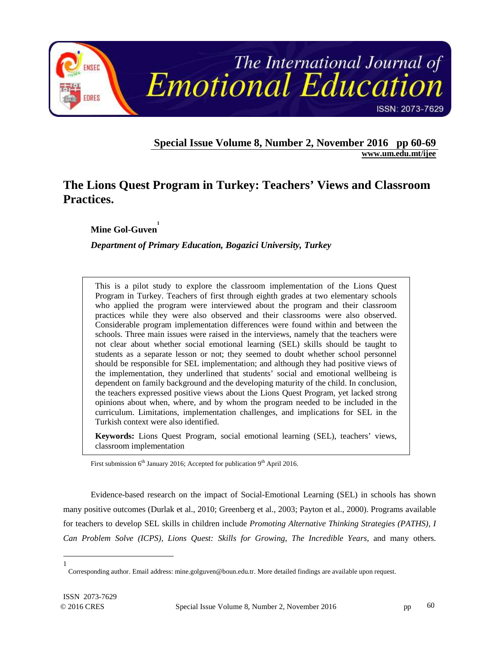

**Special Issue Volume 8, Number 2, November 2016 pp 60-69 www.um.edu.mt/ijee** 

# **The Lions Quest Program in Turkey: Teachers' Views and Classroom Practices.**

**Mine Gol-Guven 1**

*Department of Primary Education, Bogazici University, Turkey* 

This is a pilot study to explore the classroom implementation of the Lions Quest Program in Turkey. Teachers of first through eighth grades at two elementary schools who applied the program were interviewed about the program and their classroom practices while they were also observed and their classrooms were also observed. Considerable program implementation differences were found within and between the schools. Three main issues were raised in the interviews, namely that the teachers were not clear about whether social emotional learning (SEL) skills should be taught to students as a separate lesson or not; they seemed to doubt whether school personnel should be responsible for SEL implementation; and although they had positive views of the implementation, they underlined that students' social and emotional wellbeing is dependent on family background and the developing maturity of the child. In conclusion, the teachers expressed positive views about the Lions Quest Program, yet lacked strong opinions about when, where, and by whom the program needed to be included in the curriculum. Limitations, implementation challenges, and implications for SEL in the Turkish context were also identified.

**Keywords:** Lions Quest Program, social emotional learning (SEL), teachers' views, classroom implementation

First submission  $6<sup>th</sup>$  January 2016; Accepted for publication  $9<sup>th</sup>$  April 2016.

Evidence-based research on the impact of Social-Emotional Learning (SEL) in schools has shown many positive outcomes (Durlak et al., 2010; Greenberg et al., 2003; Payton et al., 2000). Programs available for teachers to develop SEL skills in children include *Promoting Alternative Thinking Strategies (PATHS), I Can Problem Solve (ICPS), Lions Quest: Skills for Growing, The Incredible Years*, and many others.

 $\overline{a}$ 1

Corresponding author. Email address: mine.golguven@boun.edu.tr. More detailed findings are available upon request.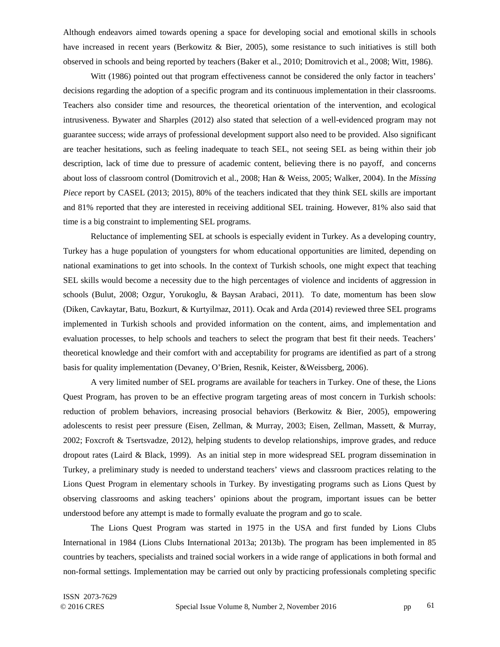Although endeavors aimed towards opening a space for developing social and emotional skills in schools have increased in recent years (Berkowitz & Bier, 2005), some resistance to such initiatives is still both observed in schools and being reported by teachers (Baker et al., 2010; Domitrovich et al., 2008; Witt, 1986).

Witt (1986) pointed out that program effectiveness cannot be considered the only factor in teachers' decisions regarding the adoption of a specific program and its continuous implementation in their classrooms. Teachers also consider time and resources, the theoretical orientation of the intervention, and ecological intrusiveness. Bywater and Sharples (2012) also stated that selection of a well-evidenced program may not guarantee success; wide arrays of professional development support also need to be provided. Also significant are teacher hesitations, such as feeling inadequate to teach SEL, not seeing SEL as being within their job description, lack of time due to pressure of academic content, believing there is no payoff, and concerns about loss of classroom control (Domitrovich et al., 2008; Han & Weiss, 2005; Walker, 2004). In the *Missing Piece* report by CASEL (2013; 2015), 80% of the teachers indicated that they think SEL skills are important and 81% reported that they are interested in receiving additional SEL training. However, 81% also said that time is a big constraint to implementing SEL programs.

Reluctance of implementing SEL at schools is especially evident in Turkey. As a developing country, Turkey has a huge population of youngsters for whom educational opportunities are limited, depending on national examinations to get into schools. In the context of Turkish schools, one might expect that teaching SEL skills would become a necessity due to the high percentages of violence and incidents of aggression in schools (Bulut, 2008; Ozgur, Yorukoglu, & Baysan Arabaci, 2011). To date, momentum has been slow (Diken, Cavkaytar, Batu, Bozkurt, & Kurtyilmaz, 2011). Ocak and Arda (2014) reviewed three SEL programs implemented in Turkish schools and provided information on the content, aims, and implementation and evaluation processes, to help schools and teachers to select the program that best fit their needs. Teachers' theoretical knowledge and their comfort with and acceptability for programs are identified as part of a strong basis for quality implementation (Devaney, O'Brien, Resnik, Keister, &Weissberg, 2006).

A very limited number of SEL programs are available for teachers in Turkey. One of these, the Lions Quest Program, has proven to be an effective program targeting areas of most concern in Turkish schools: reduction of problem behaviors, increasing prosocial behaviors (Berkowitz & Bier, 2005), empowering adolescents to resist peer pressure (Eisen, Zellman, & Murray, 2003; Eisen, Zellman, Massett, & Murray, 2002; Foxcroft & Tsertsvadze, 2012), helping students to develop relationships, improve grades, and reduce dropout rates (Laird & Black, 1999). As an initial step in more widespread SEL program dissemination in Turkey, a preliminary study is needed to understand teachers' views and classroom practices relating to the Lions Quest Program in elementary schools in Turkey. By investigating programs such as Lions Quest by observing classrooms and asking teachers' opinions about the program, important issues can be better understood before any attempt is made to formally evaluate the program and go to scale.

The Lions Quest Program was started in 1975 in the USA and first funded by Lions Clubs International in 1984 (Lions Clubs International 2013a; 2013b). The program has been implemented in 85 countries by teachers, specialists and trained social workers in a wide range of applications in both formal and non-formal settings. Implementation may be carried out only by practicing professionals completing specific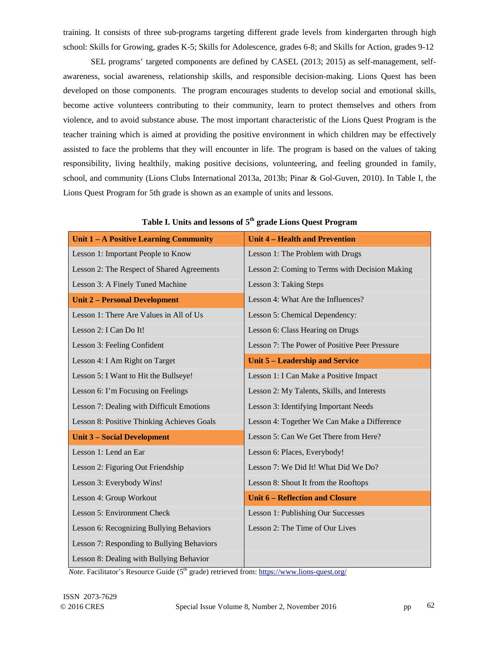training. It consists of three sub-programs targeting different grade levels from kindergarten through high school: Skills for Growing, grades K-5; Skills for Adolescence, grades 6-8; and Skills for Action, grades 9-12

SEL programs' targeted components are defined by CASEL (2013; 2015) as self-management, selfawareness, social awareness, relationship skills, and responsible decision-making. Lions Quest has been developed on those components. The program encourages students to develop social and emotional skills, become active volunteers contributing to their community, learn to protect themselves and others from violence, and to avoid substance abuse. The most important characteristic of the Lions Quest Program is the teacher training which is aimed at providing the positive environment in which children may be effectively assisted to face the problems that they will encounter in life. The program is based on the values of taking responsibility, living healthily, making positive decisions, volunteering, and feeling grounded in family, school, and community (Lions Clubs International 2013a, 2013b; Pinar & Gol-Guven, 2010). In Table I, the Lions Quest Program for 5th grade is shown as an example of units and lessons.

| Unit 1 – A Positive Learning Community     | <b>Unit 4 - Health and Prevention</b>          |
|--------------------------------------------|------------------------------------------------|
| Lesson 1: Important People to Know         | Lesson 1: The Problem with Drugs               |
| Lesson 2: The Respect of Shared Agreements | Lesson 2: Coming to Terms with Decision Making |
| Lesson 3: A Finely Tuned Machine           | Lesson 3: Taking Steps                         |
| <b>Unit 2 - Personal Development</b>       | Lesson 4: What Are the Influences?             |
| Lesson 1: There Are Values in All of Us    | Lesson 5: Chemical Dependency:                 |
| Lesson 2: I Can Do It!                     | Lesson 6: Class Hearing on Drugs               |
| Lesson 3: Feeling Confident                | Lesson 7: The Power of Positive Peer Pressure  |
| Lesson 4: I Am Right on Target             | Unit 5 – Leadership and Service                |
| Lesson 5: I Want to Hit the Bullseye!      | Lesson 1: I Can Make a Positive Impact         |
| Lesson 6: I'm Focusing on Feelings         | Lesson 2: My Talents, Skills, and Interests    |
| Lesson 7: Dealing with Difficult Emotions  | Lesson 3: Identifying Important Needs          |
| Lesson 8: Positive Thinking Achieves Goals | Lesson 4: Together We Can Make a Difference    |
| <b>Unit 3 - Social Development</b>         | Lesson 5: Can We Get There from Here?          |
| Lesson 1: Lend an Ear                      | Lesson 6: Places, Everybody!                   |
| Lesson 2: Figuring Out Friendship          | Lesson 7: We Did It! What Did We Do?           |
| Lesson 3: Everybody Wins!                  | Lesson 8: Shout It from the Rooftops           |
| Lesson 4: Group Workout                    | <b>Unit 6 – Reflection and Closure</b>         |
| Lesson 5: Environment Check                | Lesson 1: Publishing Our Successes             |
| Lesson 6: Recognizing Bullying Behaviors   | Lesson 2: The Time of Our Lives                |
| Lesson 7: Responding to Bullying Behaviors |                                                |
| Lesson 8: Dealing with Bullying Behavior   |                                                |

| Table I. Units and lessons of 5 <sup>th</sup> grade Lions Quest Program |
|-------------------------------------------------------------------------|
|-------------------------------------------------------------------------|

*Note*. Facilitator's Resource Guide  $(5<sup>th</sup> grade)$  retrieved from: https://www.lions-quest.org/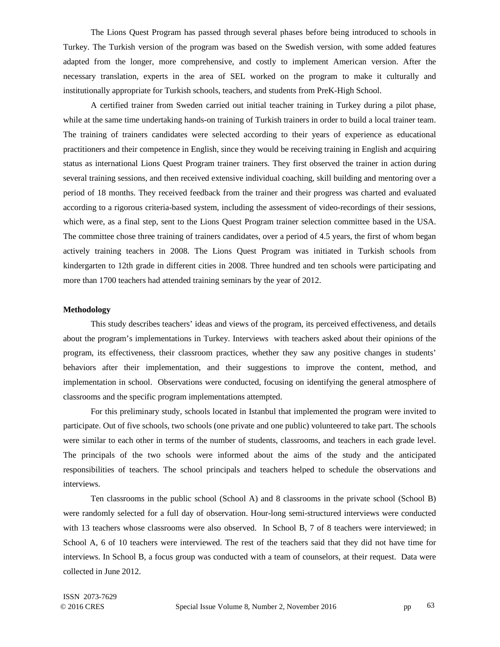The Lions Quest Program has passed through several phases before being introduced to schools in Turkey. The Turkish version of the program was based on the Swedish version, with some added features adapted from the longer, more comprehensive, and costly to implement American version. After the necessary translation, experts in the area of SEL worked on the program to make it culturally and institutionally appropriate for Turkish schools, teachers, and students from PreK-High School.

A certified trainer from Sweden carried out initial teacher training in Turkey during a pilot phase, while at the same time undertaking hands-on training of Turkish trainers in order to build a local trainer team. The training of trainers candidates were selected according to their years of experience as educational practitioners and their competence in English, since they would be receiving training in English and acquiring status as international Lions Quest Program trainer trainers. They first observed the trainer in action during several training sessions, and then received extensive individual coaching, skill building and mentoring over a period of 18 months. They received feedback from the trainer and their progress was charted and evaluated according to a rigorous criteria-based system, including the assessment of video-recordings of their sessions, which were, as a final step, sent to the Lions Quest Program trainer selection committee based in the USA. The committee chose three training of trainers candidates, over a period of 4.5 years, the first of whom began actively training teachers in 2008. The Lions Quest Program was initiated in Turkish schools from kindergarten to 12th grade in different cities in 2008. Three hundred and ten schools were participating and more than 1700 teachers had attended training seminars by the year of 2012.

# **Methodology**

This study describes teachers' ideas and views of the program, its perceived effectiveness, and details about the program's implementations in Turkey. Interviews with teachers asked about their opinions of the program, its effectiveness, their classroom practices, whether they saw any positive changes in students' behaviors after their implementation, and their suggestions to improve the content, method, and implementation in school. Observations were conducted, focusing on identifying the general atmosphere of classrooms and the specific program implementations attempted.

For this preliminary study, schools located in Istanbul that implemented the program were invited to participate. Out of five schools, two schools (one private and one public) volunteered to take part. The schools were similar to each other in terms of the number of students, classrooms, and teachers in each grade level. The principals of the two schools were informed about the aims of the study and the anticipated responsibilities of teachers. The school principals and teachers helped to schedule the observations and interviews.

Ten classrooms in the public school (School A) and 8 classrooms in the private school (School B) were randomly selected for a full day of observation. Hour-long semi-structured interviews were conducted with 13 teachers whose classrooms were also observed. In School B, 7 of 8 teachers were interviewed; in School A, 6 of 10 teachers were interviewed. The rest of the teachers said that they did not have time for interviews. In School B, a focus group was conducted with a team of counselors, at their request. Data were collected in June 2012.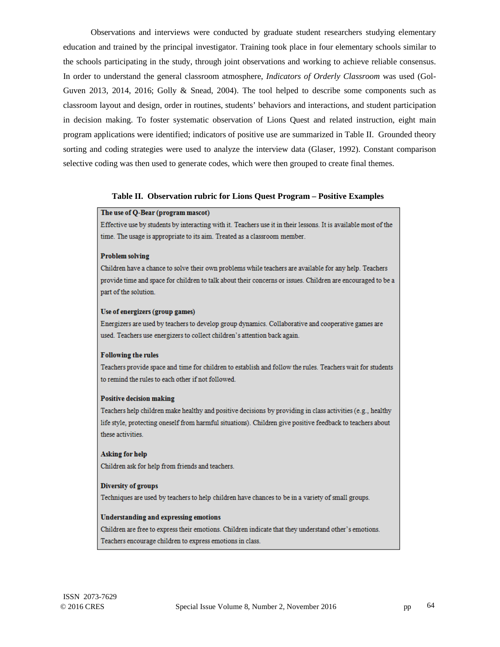Observations and interviews were conducted by graduate student researchers studying elementary education and trained by the principal investigator. Training took place in four elementary schools similar to the schools participating in the study, through joint observations and working to achieve reliable consensus. In order to understand the general classroom atmosphere, *Indicators of Orderly Classroom* was used (Gol-Guven 2013, 2014, 2016; Golly & Snead, 2004). The tool helped to describe some components such as classroom layout and design, order in routines, students' behaviors and interactions, and student participation in decision making. To foster systematic observation of Lions Quest and related instruction, eight main program applications were identified; indicators of positive use are summarized in Table II. Grounded theory sorting and coding strategies were used to analyze the interview data (Glaser, 1992). Constant comparison selective coding was then used to generate codes, which were then grouped to create final themes.

## **Table II. Observation rubric for Lions Quest Program – Positive Examples**

## The use of Q-Bear (program mascot)

Effective use by students by interacting with it. Teachers use it in their lessons. It is available most of the time. The usage is appropriate to its aim. Treated as a classroom member.

## **Problem solving**

Children have a chance to solve their own problems while teachers are available for any help. Teachers provide time and space for children to talk about their concerns or issues. Children are encouraged to be a part of the solution.

#### Use of energizers (group games)

Energizers are used by teachers to develop group dynamics. Collaborative and cooperative games are used. Teachers use energizers to collect children's attention back again.

## **Following the rules**

Teachers provide space and time for children to establish and follow the rules. Teachers wait for students to remind the rules to each other if not followed.

#### **Positive decision making**

Teachers help children make healthy and positive decisions by providing in class activities (e.g., healthy life style, protecting oneself from harmful situations). Children give positive feedback to teachers about these activities.

**Asking for help** Children ask for help from friends and teachers.

## **Diversity of groups**

Techniques are used by teachers to help children have chances to be in a variety of small groups.

#### **Understanding and expressing emotions**

Children are free to express their emotions. Children indicate that they understand other's emotions. Teachers encourage children to express emotions in class.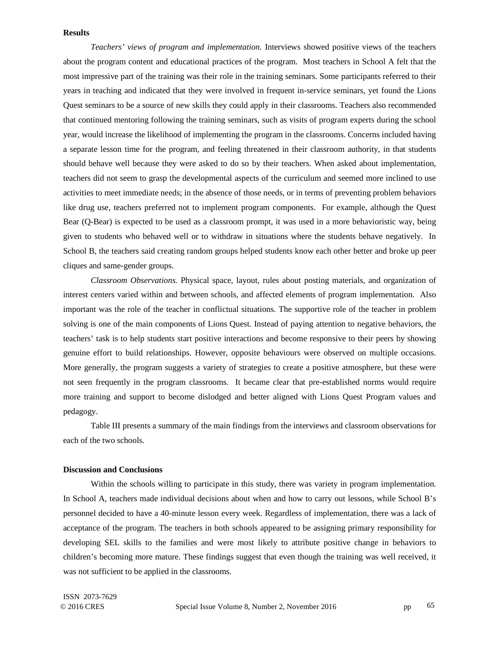# **Results**

*Teachers' views of program and implementation.* Interviews showed positive views of the teachers about the program content and educational practices of the program. Most teachers in School A felt that the most impressive part of the training was their role in the training seminars. Some participants referred to their years in teaching and indicated that they were involved in frequent in-service seminars, yet found the Lions Quest seminars to be a source of new skills they could apply in their classrooms. Teachers also recommended that continued mentoring following the training seminars, such as visits of program experts during the school year, would increase the likelihood of implementing the program in the classrooms. Concerns included having a separate lesson time for the program, and feeling threatened in their classroom authority, in that students should behave well because they were asked to do so by their teachers. When asked about implementation, teachers did not seem to grasp the developmental aspects of the curriculum and seemed more inclined to use activities to meet immediate needs; in the absence of those needs, or in terms of preventing problem behaviors like drug use, teachers preferred not to implement program components. For example, although the Quest Bear (Q-Bear) is expected to be used as a classroom prompt, it was used in a more behavioristic way, being given to students who behaved well or to withdraw in situations where the students behave negatively. In School B, the teachers said creating random groups helped students know each other better and broke up peer cliques and same-gender groups.

*Classroom Observations.* Physical space, layout, rules about posting materials, and organization of interest centers varied within and between schools, and affected elements of program implementation. Also important was the role of the teacher in conflictual situations. The supportive role of the teacher in problem solving is one of the main components of Lions Quest. Instead of paying attention to negative behaviors, the teachers' task is to help students start positive interactions and become responsive to their peers by showing genuine effort to build relationships. However, opposite behaviours were observed on multiple occasions. More generally, the program suggests a variety of strategies to create a positive atmosphere, but these were not seen frequently in the program classrooms. It became clear that pre-established norms would require more training and support to become dislodged and better aligned with Lions Quest Program values and pedagogy.

Table III presents a summary of the main findings from the interviews and classroom observations for each of the two schools.

## **Discussion and Conclusions**

Within the schools willing to participate in this study, there was variety in program implementation. In School A, teachers made individual decisions about when and how to carry out lessons, while School B's personnel decided to have a 40-minute lesson every week. Regardless of implementation, there was a lack of acceptance of the program. The teachers in both schools appeared to be assigning primary responsibility for developing SEL skills to the families and were most likely to attribute positive change in behaviors to children's becoming more mature. These findings suggest that even though the training was well received, it was not sufficient to be applied in the classrooms.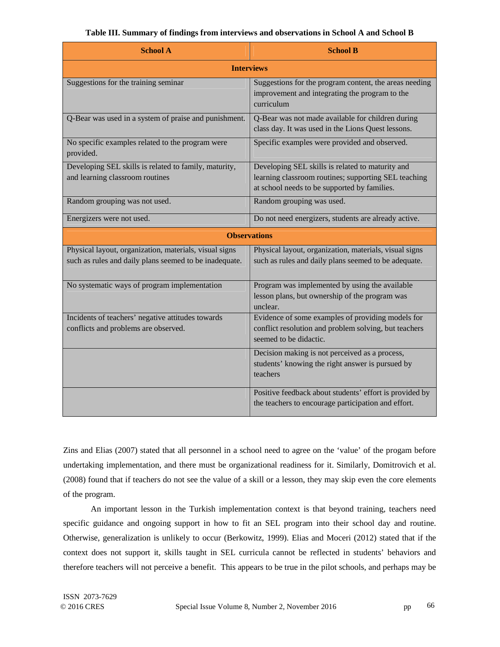| <b>School A</b>                                                                                                  | <b>School B</b>                                                                                                                                          |
|------------------------------------------------------------------------------------------------------------------|----------------------------------------------------------------------------------------------------------------------------------------------------------|
| <b>Interviews</b>                                                                                                |                                                                                                                                                          |
| Suggestions for the training seminar                                                                             | Suggestions for the program content, the areas needing<br>improvement and integrating the program to the<br>curriculum                                   |
| Q-Bear was used in a system of praise and punishment.                                                            | Q-Bear was not made available for children during<br>class day. It was used in the Lions Quest lessons.                                                  |
| No specific examples related to the program were<br>provided.                                                    | Specific examples were provided and observed.                                                                                                            |
| Developing SEL skills is related to family, maturity,<br>and learning classroom routines                         | Developing SEL skills is related to maturity and<br>learning classroom routines; supporting SEL teaching<br>at school needs to be supported by families. |
| Random grouping was not used.                                                                                    | Random grouping was used.                                                                                                                                |
| Energizers were not used.                                                                                        | Do not need energizers, students are already active.                                                                                                     |
| <b>Observations</b>                                                                                              |                                                                                                                                                          |
| Physical layout, organization, materials, visual signs<br>such as rules and daily plans seemed to be inadequate. | Physical layout, organization, materials, visual signs<br>such as rules and daily plans seemed to be adequate.                                           |
| No systematic ways of program implementation                                                                     | Program was implemented by using the available<br>lesson plans, but ownership of the program was<br>unclear.                                             |
| Incidents of teachers' negative attitudes towards<br>conflicts and problems are observed.                        | Evidence of some examples of providing models for<br>conflict resolution and problem solving, but teachers<br>seemed to be didactic.                     |
|                                                                                                                  | Decision making is not perceived as a process,<br>students' knowing the right answer is pursued by<br>teachers                                           |
|                                                                                                                  | Positive feedback about students' effort is provided by<br>the teachers to encourage participation and effort.                                           |

Zins and Elias (2007) stated that all personnel in a school need to agree on the 'value' of the progam before undertaking implementation, and there must be organizational readiness for it. Similarly, Domitrovich et al. (2008) found that if teachers do not see the value of a skill or a lesson, they may skip even the core elements of the program.

An important lesson in the Turkish implementation context is that beyond training, teachers need specific guidance and ongoing support in how to fit an SEL program into their school day and routine. Otherwise, generalization is unlikely to occur (Berkowitz, 1999). Elias and Moceri (2012) stated that if the context does not support it, skills taught in SEL curricula cannot be reflected in students' behaviors and therefore teachers will not perceive a benefit. This appears to be true in the pilot schools, and perhaps may be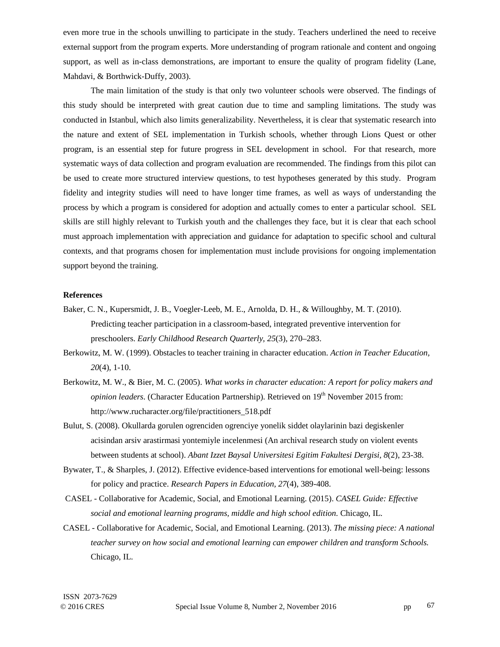even more true in the schools unwilling to participate in the study. Teachers underlined the need to receive external support from the program experts. More understanding of program rationale and content and ongoing support, as well as in-class demonstrations, are important to ensure the quality of program fidelity (Lane, Mahdavi, & Borthwick-Duffy, 2003).

The main limitation of the study is that only two volunteer schools were observed. The findings of this study should be interpreted with great caution due to time and sampling limitations. The study was conducted in Istanbul, which also limits generalizability. Nevertheless, it is clear that systematic research into the nature and extent of SEL implementation in Turkish schools, whether through Lions Quest or other program, is an essential step for future progress in SEL development in school. For that research, more systematic ways of data collection and program evaluation are recommended. The findings from this pilot can be used to create more structured interview questions, to test hypotheses generated by this study. Program fidelity and integrity studies will need to have longer time frames, as well as ways of understanding the process by which a program is considered for adoption and actually comes to enter a particular school. SEL skills are still highly relevant to Turkish youth and the challenges they face, but it is clear that each school must approach implementation with appreciation and guidance for adaptation to specific school and cultural contexts, and that programs chosen for implementation must include provisions for ongoing implementation support beyond the training.

# **References**

- Baker, C. N., Kupersmidt, J. B., Voegler-Leeb, M. E., Arnolda, D. H., & Willoughby, M. T. (2010). Predicting teacher participation in a classroom-based, integrated preventive intervention for preschoolers. *Early Childhood Research Quarterly, 25*(3), 270–283.
- Berkowitz, M. W. (1999). Obstacles to teacher training in character education. *Action in Teacher Education, 20*(4), 1-10.
- Berkowitz, M. W., & Bier, M. C. (2005). *What works in character education: A report for policy makers and*  opinion leaders. (Character Education Partnership). Retrieved on 19<sup>th</sup> November 2015 from: http://www.rucharacter.org/file/practitioners\_518.pdf
- Bulut, S. (2008). Okullarda gorulen ogrenciden ogrenciye yonelik siddet olaylarinin bazi degiskenler acisindan arsiv arastirmasi yontemiyle incelenmesi (An archival research study on violent events between students at school). *Abant Izzet Baysal Universitesi Egitim Fakultesi Dergisi, 8*(2), 23-38.
- Bywater, T., & Sharples, J. (2012). Effective evidence-based interventions for emotional well-being: lessons for policy and practice. *Research Papers in Education, 27*(4), 389-408.
- CASEL Collaborative for Academic, Social, and Emotional Learning. (2015). *CASEL Guide: Effective social and emotional learning programs, middle and high school edition.* Chicago, IL.
- CASEL Collaborative for Academic, Social, and Emotional Learning. (2013). *The missing piece: A national teacher survey on how social and emotional learning can empower children and transform Schools.* Chicago, IL.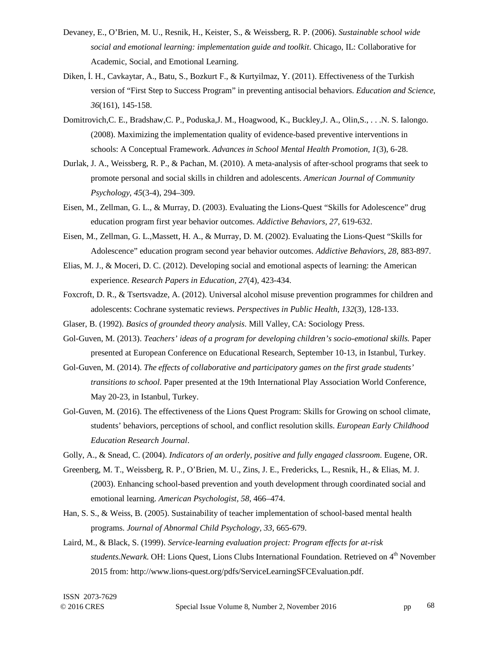- Devaney, E., O'Brien, M. U., Resnik, H., Keister, S., & Weissberg, R. P. (2006). *Sustainable school wide social and emotional learning: implementation guide and toolkit*. Chicago, IL: Collaborative for Academic, Social, and Emotional Learning.
- Diken, İ. H., Cavkaytar, A., Batu, S., Bozkurt F., & Kurtyilmaz, Y. (2011). Effectiveness of the Turkish version of "First Step to Success Program" in preventing antisocial behaviors. *Education and Science, 36*(161), 145-158.
- Domitrovich,C. E., Bradshaw,C. P., Poduska,J. M., Hoagwood, K., Buckley,J. A., Olin,S., . . .N. S. Ialongo. (2008). Maximizing the implementation quality of evidence-based preventive interventions in schools: A Conceptual Framework. *Advances in School Mental Health Promotion, 1*(3), 6-28.
- Durlak, J. A., Weissberg, R. P., & Pachan, M. (2010). A meta-analysis of after-school programs that seek to promote personal and social skills in children and adolescents. *American Journal of Community Psychology, 45*(3-4), 294–309.
- Eisen, M., Zellman, G. L., & Murray, D. (2003). Evaluating the Lions-Quest "Skills for Adolescence" drug education program first year behavior outcomes. *Addictive Behaviors, 27,* 619-632.
- Eisen, M., Zellman, G. L.,Massett, H. A., & Murray, D. M. (2002). Evaluating the Lions-Quest "Skills for Adolescence" education program second year behavior outcomes. *Addictive Behaviors, 28,* 883-897.
- Elias, M. J., & Moceri, D. C. (2012). Developing social and emotional aspects of learning: the American experience. *Research Papers in Education, 27*(4), 423-434.
- Foxcroft, D. R., & Tsertsvadze, A. (2012). Universal alcohol misuse prevention programmes for children and adolescents: Cochrane systematic reviews. *Perspectives in Public Health, 132*(3), 128-133.
- Glaser, B. (1992). *Basics of grounded theory analysis*. Mill Valley, CA: Sociology Press.
- Gol-Guven, M. (2013). *Teachers' ideas of a program for developing children's socio-emotional skills.* Paper presented at European Conference on Educational Research, September 10-13, in Istanbul, Turkey.
- Gol-Guven, M. (2014). *The effects of collaborative and participatory games on the first grade students' transitions to school.* Paper presented at the 19th International Play Association World Conference, May 20-23, in Istanbul, Turkey.
- Gol-Guven, M. (2016). The effectiveness of the Lions Quest Program: Skills for Growing on school climate, students' behaviors, perceptions of school, and conflict resolution skills. *European Early Childhood Education Research Journal*.
- Golly, A., & Snead, C. (2004). *Indicators of an orderly, positive and fully engaged classroom*. Eugene, OR.
- Greenberg, M. T., Weissberg, R. P., O'Brien, M. U., Zins, J. E., Fredericks, L., Resnik, H., & Elias, M. J. (2003). Enhancing school-based prevention and youth development through coordinated social and emotional learning. *American Psychologist, 58,* 466–474.
- Han, S. S., & Weiss, B. (2005). Sustainability of teacher implementation of school-based mental health programs. *Journal of Abnormal Child Psychology, 33,* 665-679.
- Laird, M., & Black, S. (1999). *Service-learning evaluation project: Program effects for at-risk students.Newark*. OH: Lions Quest, Lions Clubs International Foundation. Retrieved on 4<sup>th</sup> November 2015 from: http://www.lions-quest.org/pdfs/ServiceLearningSFCEvaluation.pdf.